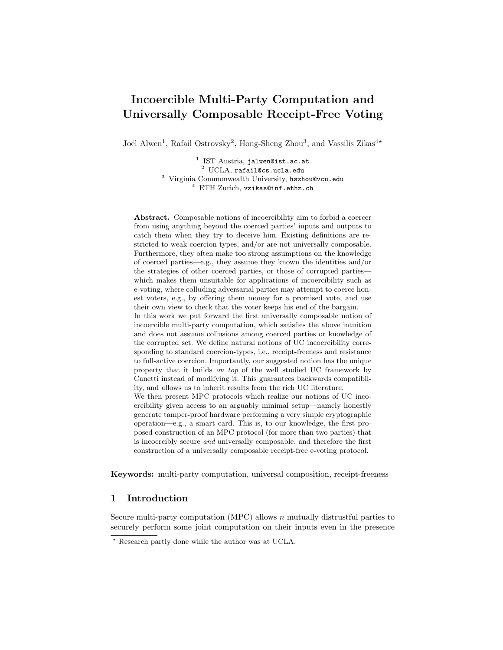# Incoercible Multi-Party Computation and Universally Composable Receipt-Free Voting

Joël Alwen<sup>1</sup>, Rafail Ostrovsky<sup>2</sup>, Hong-Sheng Zhou<sup>3</sup>, and Vassilis Zikas<sup>4\*</sup>

<sup>1</sup> IST Austria, jalwen@ist.ac.at <sup>2</sup> UCLA, rafail@cs.ucla.edu <sup>3</sup> Virginia Commonwealth University, hszhou@vcu.edu <sup>4</sup> ETH Zurich, vzikas@inf.ethz.ch

Abstract. Composable notions of incoercibility aim to forbid a coercer from using anything beyond the coerced parties' inputs and outputs to catch them when they try to deceive him. Existing definitions are restricted to weak coercion types, and/or are not universally composable. Furthermore, they often make too strong assumptions on the knowledge of coerced parties—e.g., they assume they known the identities and/or the strategies of other coerced parties, or those of corrupted parties which makes them unsuitable for applications of incoercibility such as e-voting, where colluding adversarial parties may attempt to coerce honest voters, e.g., by offering them money for a promised vote, and use their own view to check that the voter keeps his end of the bargain. In this work we put forward the first universally composable notion of incoercible multi-party computation, which satisfies the above intuition and does not assume collusions among coerced parties or knowledge of the corrupted set. We define natural notions of UC incoercibility corresponding to standard coercion-types, i.e., receipt-freeness and resistance to full-active coercion. Importantly, our suggested notion has the unique property that it builds on top of the well studied UC framework by Canetti instead of modifying it. This guarantees backwards compatibility, and allows us to inherit results from the rich UC literature. We then present MPC protocols which realize our notions of UC incoercibility given access to an arguably minimal setup—namely honestly generate tamper-proof hardware performing a very simple cryptographic operation—e.g., a smart card. This is, to our knowledge, the first proposed construction of an MPC protocol (for more than two parties) that is incoercibly secure and universally composable, and therefore the first

Keywords: multi-party computation, universal composition, receipt-freeness

construction of a universally composable receipt-free e-voting protocol.

## <span id="page-0-0"></span>1 Introduction

Secure multi-party computation (MPC) allows n mutually distrustful parties to securely perform some joint computation on their inputs even in the presence

<sup>?</sup> Research partly done while the author was at UCLA.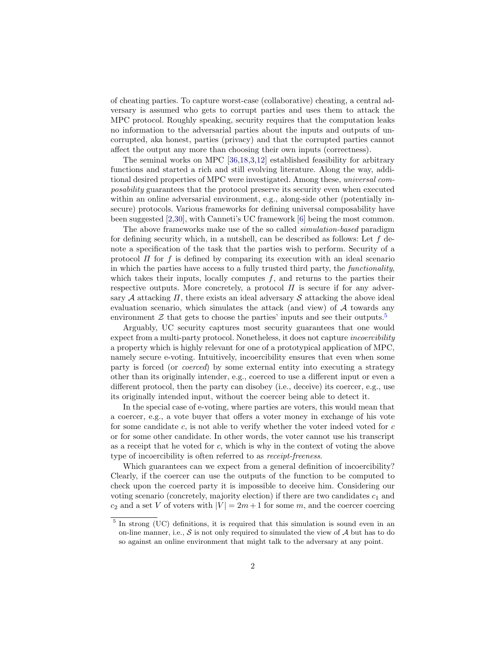of cheating parties. To capture worst-case (collaborative) cheating, a central adversary is assumed who gets to corrupt parties and uses them to attack the MPC protocol. Roughly speaking, security requires that the computation leaks no information to the adversarial parties about the inputs and outputs of uncorrupted, aka honest, parties (privacy) and that the corrupted parties cannot affect the output any more than choosing their own inputs (correctness).

The seminal works on MPC [\[36](#page-17-0)[,18,](#page-16-0)[3,](#page-16-1)[12\]](#page-16-2) established feasibility for arbitrary functions and started a rich and still evolving literature. Along the way, additional desired properties of MPC were investigated. Among these, universal composability guarantees that the protocol preserve its security even when executed within an online adversarial environment, e.g., along-side other (potentially insecure) protocols. Various frameworks for defining universal composability have been suggested [\[2,](#page-16-3)[30\]](#page-17-1), with Canneti's UC framework [\[6\]](#page-16-4) being the most common.

The above frameworks make use of the so called simulation-based paradigm for defining security which, in a nutshell, can be described as follows: Let  $f$  denote a specification of the task that the parties wish to perform. Security of a protocol  $\Pi$  for f is defined by comparing its execution with an ideal scenario in which the parties have access to a fully trusted third party, the functionality, which takes their inputs, locally computes  $f$ , and returns to the parties their respective outputs. More concretely, a protocol  $\Pi$  is secure if for any adversary A attacking  $\Pi$ , there exists an ideal adversary S attacking the above ideal evaluation scenario, which simulates the attack (and view) of  $A$  towards any environment  $\mathcal{Z}$  that gets to choose the parties' inputs and see their outputs.<sup>[5](#page-1-0)</sup>

Arguably, UC security captures most security guarantees that one would expect from a multi-party protocol. Nonetheless, it does not capture incoercibility a property which is highly relevant for one of a prototypical application of MPC, namely secure e-voting. Intuitively, incoercibility ensures that even when some party is forced (or coerced) by some external entity into executing a strategy other than its originally intender, e.g., coerced to use a different input or even a different protocol, then the party can disobey (i.e., deceive) its coercer, e.g., use its originally intended input, without the coercer being able to detect it.

In the special case of e-voting, where parties are voters, this would mean that a coercer, e.g., a vote buyer that offers a voter money in exchange of his vote for some candidate c, is not able to verify whether the voter indeed voted for  $c$ or for some other candidate. In other words, the voter cannot use his transcript as a receipt that he voted for c, which is why in the context of voting the above type of incoercibility is often referred to as receipt-freeness.

Which guarantees can we expect from a general definition of incoercibility? Clearly, if the coercer can use the outputs of the function to be computed to check upon the coerced party it is impossible to deceive him. Considering our voting scenario (concretely, majority election) if there are two candidates  $c_1$  and  $c_2$  and a set V of voters with  $|V| = 2m + 1$  for some m, and the coercer coercing

<span id="page-1-0"></span><sup>&</sup>lt;sup>5</sup> In strong (UC) definitions, it is required that this simulation is sound even in an on-line manner, i.e.,  $S$  is not only required to simulated the view of  $A$  but has to do so against an online environment that might talk to the adversary at any point.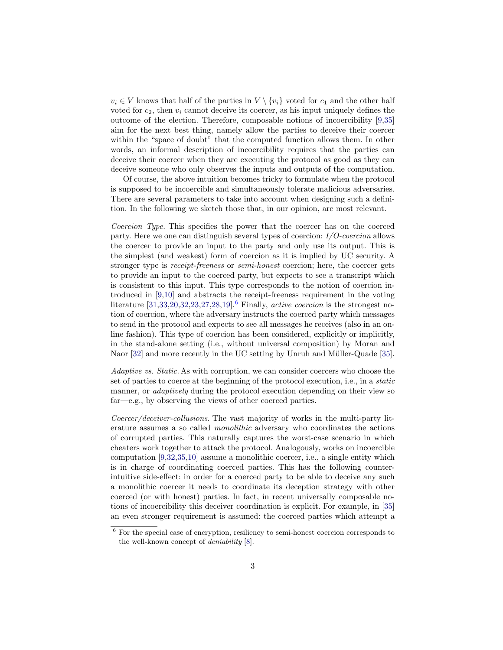$v_i \in V$  knows that half of the parties in  $V \setminus \{v_i\}$  voted for  $c_1$  and the other half voted for  $c_2$ , then  $v_i$  cannot deceive its coercer, as his input uniquely defines the outcome of the election. Therefore, composable notions of incoercibility [\[9,](#page-16-5)[35\]](#page-17-2) aim for the next best thing, namely allow the parties to deceive their coercer within the "space of doubt" that the computed function allows them. In other words, an informal description of incoercibility requires that the parties can deceive their coercer when they are executing the protocol as good as they can deceive someone who only observes the inputs and outputs of the computation.

Of course, the above intuition becomes tricky to formulate when the protocol is supposed to be incoercible and simultaneously tolerate malicious adversaries. There are several parameters to take into account when designing such a definition. In the following we sketch those that, in our opinion, are most relevant.

Coercion Type. This specifies the power that the coercer has on the coerced party. Here we one can distinguish several types of coercion: I/O-coercion allows the coercer to provide an input to the party and only use its output. This is the simplest (and weakest) form of coercion as it is implied by UC security. A stronger type is *receipt-freeness* or *semi-honest* coercion; here, the coercer gets to provide an input to the coerced party, but expects to see a transcript which is consistent to this input. This type corresponds to the notion of coercion introduced in [\[9,](#page-16-5)[10\]](#page-16-6) and abstracts the receipt-freeness requirement in the voting literature  $[31,33,20,32,23,27,28,19]$  $[31,33,20,32,23,27,28,19]$  $[31,33,20,32,23,27,28,19]$  $[31,33,20,32,23,27,28,19]$  $[31,33,20,32,23,27,28,19]$  $[31,33,20,32,23,27,28,19]$  $[31,33,20,32,23,27,28,19]$  $[31,33,20,32,23,27,28,19]$ .<sup>[6](#page-2-0)</sup> Finally, *active coercion* is the strongest notion of coercion, where the adversary instructs the coerced party which messages to send in the protocol and expects to see all messages he receives (also in an online fashion). This type of coercion has been considered, explicitly or implicitly, in the stand-alone setting (i.e., without universal composition) by Moran and Naor [\[32\]](#page-17-6) and more recently in the UC setting by Unruh and Müller-Quade [\[35\]](#page-17-2).

Adaptive vs. Static. As with corruption, we can consider coercers who choose the set of parties to coerce at the beginning of the protocol execution, i.e., in a static manner, or *adaptively* during the protocol execution depending on their view so far—e.g., by observing the views of other coerced parties.

Coercer/deceiver-collusions. The vast majority of works in the multi-party literature assumes a so called monolithic adversary who coordinates the actions of corrupted parties. This naturally captures the worst-case scenario in which cheaters work together to attack the protocol. Analogously, works on incoercible computation [\[9](#page-16-5)[,32](#page-17-6)[,35,](#page-17-2)[10\]](#page-16-6) assume a monolithic coercer, i.e., a single entity which is in charge of coordinating coerced parties. This has the following counterintuitive side-effect: in order for a coerced party to be able to deceive any such a monolithic coercer it needs to coordinate its deception strategy with other coerced (or with honest) parties. In fact, in recent universally composable notions of incoercibility this deceiver coordination is explicit. For example, in [\[35\]](#page-17-2) an even stronger requirement is assumed: the coerced parties which attempt a

<span id="page-2-0"></span> $6$  For the special case of encryption, resiliency to semi-honest coercion corresponds to the well-known concept of deniability [\[8\]](#page-16-7).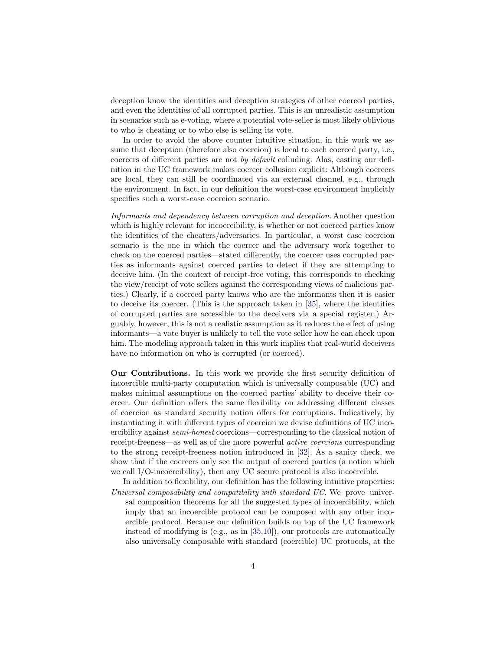deception know the identities and deception strategies of other coerced parties, and even the identities of all corrupted parties. This is an unrealistic assumption in scenarios such as e-voting, where a potential vote-seller is most likely oblivious to who is cheating or to who else is selling its vote.

In order to avoid the above counter intuitive situation, in this work we assume that deception (therefore also coercion) is local to each coerced party, i.e., coercers of different parties are not by default colluding. Alas, casting our definition in the UC framework makes coercer collusion explicit: Although coercers are local, they can still be coordinated via an external channel, e.g., through the environment. In fact, in our definition the worst-case environment implicitly specifies such a worst-case coercion scenario.

Informants and dependency between corruption and deception. Another question which is highly relevant for incoercibility, is whether or not coerced parties know the identities of the cheaters/adversaries. In particular, a worst case coercion scenario is the one in which the coercer and the adversary work together to check on the coerced parties—stated differently, the coercer uses corrupted parties as informants against coerced parties to detect if they are attempting to deceive him. (In the context of receipt-free voting, this corresponds to checking the view/receipt of vote sellers against the corresponding views of malicious parties.) Clearly, if a coerced party knows who are the informants then it is easier to deceive its coercer. (This is the approach taken in [\[35\]](#page-17-2), where the identities of corrupted parties are accessible to the deceivers via a special register.) Arguably, however, this is not a realistic assumption as it reduces the effect of using informants—a vote buyer is unlikely to tell the vote seller how he can check upon him. The modeling approach taken in this work implies that real-world deceivers have no information on who is corrupted (or coerced).

Our Contributions. In this work we provide the first security definition of incoercible multi-party computation which is universally composable (UC) and makes minimal assumptions on the coerced parties' ability to deceive their coercer. Our definition offers the same flexibility on addressing different classes of coercion as standard security notion offers for corruptions. Indicatively, by instantiating it with different types of coercion we devise definitions of UC incoercibility against semi-honest coercions—corresponding to the classical notion of receipt-freeness—as well as of the more powerful active coercions corresponding to the strong receipt-freeness notion introduced in [\[32\]](#page-17-6). As a sanity check, we show that if the coercers only see the output of coerced parties (a notion which we call I/O-incoercibility), then any UC secure protocol is also incoercible.

In addition to flexibility, our definition has the following intuitive properties: Universal composability and compatibility with standard UC. We prove universal composition theorems for all the suggested types of incoercibility, which imply that an incoercible protocol can be composed with any other incoercible protocol. Because our definition builds on top of the UC framework instead of modifying is (e.g., as in [\[35,](#page-17-2)[10\]](#page-16-6)), our protocols are automatically also universally composable with standard (coercible) UC protocols, at the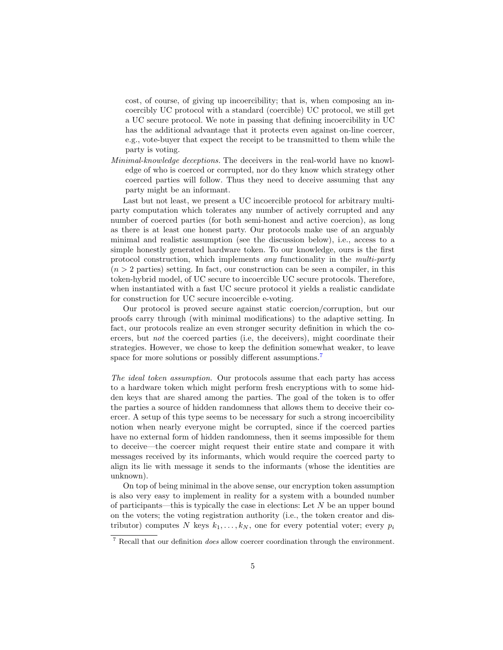cost, of course, of giving up incoercibility; that is, when composing an incoercibly UC protocol with a standard (coercible) UC protocol, we still get a UC secure protocol. We note in passing that defining incoercibility in UC has the additional advantage that it protects even against on-line coercer, e.g., vote-buyer that expect the receipt to be transmitted to them while the party is voting.

Minimal-knowledge deceptions. The deceivers in the real-world have no knowledge of who is coerced or corrupted, nor do they know which strategy other coerced parties will follow. Thus they need to deceive assuming that any party might be an informant.

Last but not least, we present a UC incoercible protocol for arbitrary multiparty computation which tolerates any number of actively corrupted and any number of coerced parties (for both semi-honest and active coercion), as long as there is at least one honest party. Our protocols make use of an arguably minimal and realistic assumption (see the discussion below), i.e., access to a simple honestly generated hardware token. To our knowledge, ours is the first protocol construction, which implements any functionality in the multi-party  $(n > 2$  parties) setting. In fact, our construction can be seen a compiler, in this token-hybrid model, of UC secure to incoercible UC secure protocols. Therefore, when instantiated with a fast UC secure protocol it yields a realistic candidate for construction for UC secure incoercible e-voting.

Our protocol is proved secure against static coercion/corruption, but our proofs carry through (with minimal modifications) to the adaptive setting. In fact, our protocols realize an even stronger security definition in which the coercers, but not the coerced parties (i.e, the deceivers), might coordinate their strategies. However, we chose to keep the definition somewhat weaker, to leave space for more solutions or possibly different assumptions.<sup>[7](#page-4-0)</sup>

The ideal token assumption. Our protocols assume that each party has access to a hardware token which might perform fresh encryptions with to some hidden keys that are shared among the parties. The goal of the token is to offer the parties a source of hidden randomness that allows them to deceive their coercer. A setup of this type seems to be necessary for such a strong incoercibility notion when nearly everyone might be corrupted, since if the coerced parties have no external form of hidden randomness, then it seems impossible for them to deceive—the coercer might request their entire state and compare it with messages received by its informants, which would require the coerced party to align its lie with message it sends to the informants (whose the identities are unknown).

On top of being minimal in the above sense, our encryption token assumption is also very easy to implement in reality for a system with a bounded number of participants—this is typically the case in elections: Let  $N$  be an upper bound on the voters; the voting registration authority (i.e., the token creator and distributor) computes N keys  $k_1, \ldots, k_N$ , one for every potential voter; every  $p_i$ 

<span id="page-4-0"></span><sup>7</sup> Recall that our definition does allow coercer coordination through the environment.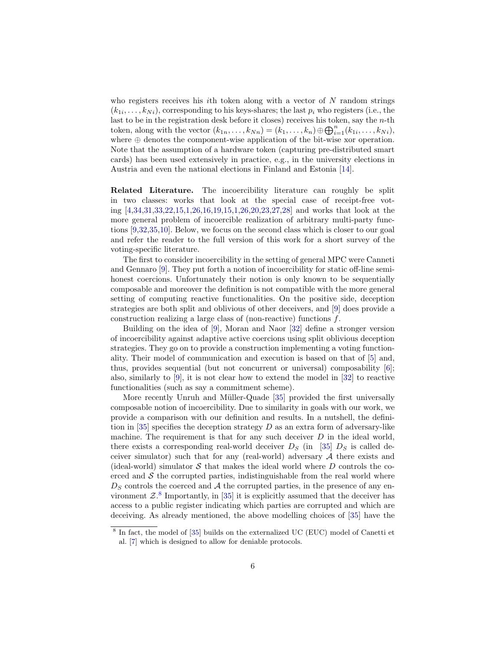who registers receives his ith token along with a vector of  $N$  random strings  $(k_{1i},\ldots,k_{Ni})$ , corresponding to his keys-shares; the last  $p_i$  who registers (i.e., the last to be in the registration desk before it closes) receives his token, say the  $n$ -th token, along with the vector  $(k_{1n},\ldots,k_{Nn}) = (k_1,\ldots,k_n) \oplus \bigoplus_{i=1}^n (k_{1i},\ldots,k_{Ni}),$ where ⊕ denotes the component-wise application of the bit-wise xor operation. Note that the assumption of a hardware token (capturing pre-distributed smart cards) has been used extensively in practice, e.g., in the university elections in Austria and even the national elections in Finland and Estonia [\[14\]](#page-16-8).

Related Literature. The incoercibility literature can roughly be split in two classes: works that look at the special case of receipt-free voting [\[4,](#page-16-9)[34,](#page-17-11)[31](#page-17-3)[,33,](#page-17-4)[22](#page-17-12)[,15](#page-16-10)[,1](#page-16-11)[,26,](#page-17-13)[16,](#page-16-12)[19](#page-17-10)[,15,](#page-16-10)[1,](#page-16-11)[26,](#page-17-13)[20](#page-17-5)[,23,](#page-17-7)[27,](#page-17-8)[28\]](#page-17-9) and works that look at the more general problem of incoercible realization of arbitrary multi-party functions [\[9](#page-16-5)[,32](#page-17-6)[,35,](#page-17-2)[10\]](#page-16-6). Below, we focus on the second class which is closer to our goal and refer the reader to the full version of this work for a short survey of the voting-specific literature.

The first to consider incoercibility in the setting of general MPC were Canneti and Gennaro [\[9\]](#page-16-5). They put forth a notion of incoercibility for static off-line semihonest coercions. Unfortunately their notion is only known to be sequentially composable and moreover the definition is not compatible with the more general setting of computing reactive functionalities. On the positive side, deception strategies are both split and oblivious of other deceivers, and [\[9\]](#page-16-5) does provide a construction realizing a large class of (non-reactive) functions f.

Building on the idea of [\[9\]](#page-16-5), Moran and Naor [\[32\]](#page-17-6) define a stronger version of incoercibility against adaptive active coercions using split oblivious deception strategies. They go on to provide a construction implementing a voting functionality. Their model of communication and execution is based on that of [\[5\]](#page-16-13) and, thus, provides sequential (but not concurrent or universal) composability [\[6\]](#page-16-4); also, similarly to [\[9\]](#page-16-5), it is not clear how to extend the model in [\[32\]](#page-17-6) to reactive functionalities (such as say a commitment scheme).

More recently Unruh and Müller-Quade [\[35\]](#page-17-2) provided the first universally composable notion of incoercibility. Due to similarity in goals with our work, we provide a comparison with our definition and results. In a nutshell, the defini-tion in [\[35\]](#page-17-2) specifies the deception strategy  $D$  as an extra form of adversary-like machine. The requirement is that for any such deceiver  $D$  in the ideal world, there exists a corresponding real-world deceiver  $D<sub>S</sub>$  (in [\[35\]](#page-17-2)  $D<sub>S</sub>$  is called deceiver simulator) such that for any (real-world) adversary  $A$  there exists and (ideal-world) simulator  $\mathcal S$  that makes the ideal world where  $D$  controls the coerced and  $\mathcal S$  the corrupted parties, indistinguishable from the real world where  $D<sub>S</sub>$  controls the coerced and  $A$  the corrupted parties, in the presence of any environment  $\mathcal{Z}$ .<sup>[8](#page-5-0)</sup> Importantly, in [\[35\]](#page-17-2) it is explicitly assumed that the deceiver has access to a public register indicating which parties are corrupted and which are deceiving. As already mentioned, the above modelling choices of [\[35\]](#page-17-2) have the

<span id="page-5-0"></span><sup>&</sup>lt;sup>8</sup> In fact, the model of [\[35\]](#page-17-2) builds on the externalized UC (EUC) model of Canetti et al. [\[7\]](#page-16-14) which is designed to allow for deniable protocols.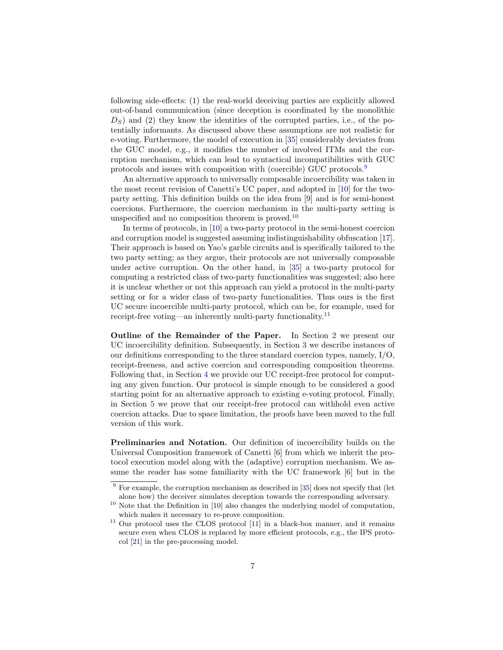following side-effects: (1) the real-world deceiving parties are explicitly allowed out-of-band communication (since deception is coordinated by the monolithic  $D<sub>S</sub>$ ) and (2) they know the identities of the corrupted parties, i.e., of the potentially informants. As discussed above these assumptions are not realistic for e-voting. Furthermore, the model of execution in [\[35\]](#page-17-2) considerably deviates from the GUC model, e.g., it modifies the number of involved ITMs and the corruption mechanism, which can lead to syntactical incompatibilities with GUC protocols and issues with composition with (coercible) GUC protocols.[9](#page-6-0)

An alternative approach to universally composable incoercibility was taken in the most recent revision of Canetti's UC paper, and adopted in [\[10\]](#page-16-6) for the twoparty setting. This definition builds on the idea from [\[9\]](#page-16-5) and is for semi-honest coercions. Furthermore, the coercion mechanism in the multi-party setting is unspecified and no composition theorem is proved.<sup>[10](#page-6-1)</sup>

In terms of protocols, in [\[10\]](#page-16-6) a two-party protocol in the semi-honest coercion and corruption model is suggested assuming indistinguishability obfuscation [\[17\]](#page-16-15). Their approach is based on Yao's garble circuits and is specifically tailored to the two party setting; as they argue, their protocols are not universally composable under active corruption. On the other hand, in [\[35\]](#page-17-2) a two-party protocol for computing a restricted class of two-party functionalities was suggested; also here it is unclear whether or not this approach can yield a protocol in the multi-party setting or for a wider class of two-party functionalities. Thus ours is the first UC secure incoercible multi-party protocol, which can be, for example, used for receipt-free voting—an inherently multi-party functionality.<sup>[11](#page-6-2)</sup>

Outline of the Remainder of the Paper. In Section [2](#page-7-0) we present our UC incoercibility definition. Subsequently, in Section [3](#page-11-0) we describe instances of our definitions corresponding to the three standard coercion types, namely,  $I/O$ , receipt-freeness, and active coercion and corresponding composition theorems. Following that, in Section [4](#page-12-0) we provide our UC receipt-free protocol for computing any given function. Our protocol is simple enough to be considered a good starting point for an alternative approach to existing e-voting protocol. Finally, in Section [5](#page-15-0) we prove that our receipt-free protocol can withhold even active coercion attacks. Due to space limitation, the proofs have been moved to the full version of this work.

<span id="page-6-3"></span>Preliminaries and Notation. Our definition of incoercibility builds on the Universal Composition framework of Canetti [\[6\]](#page-16-4) from which we inherit the protocol execution model along with the (adaptive) corruption mechanism. We assume the reader has some familiarity with the UC framework [\[6\]](#page-16-4) but in the

<span id="page-6-0"></span> $9 \text{ For example, the corruption mechanism as described in } [35]$  $9 \text{ For example, the corruption mechanism as described in } [35]$  does not specify that (let alone how) the deceiver simulates deception towards the corresponding adversary.

<span id="page-6-1"></span> $10$  Note that the Definition in [\[10\]](#page-16-6) also changes the underlying model of computation, which makes it necessary to re-prove composition.

<span id="page-6-2"></span> $11$  Our protocol uses the CLOS protocol [\[11\]](#page-16-16) in a black-box manner, and it remains secure even when CLOS is replaced by more efficient protocols, e.g., the IPS protocol [\[21\]](#page-17-14) in the pre-processing model.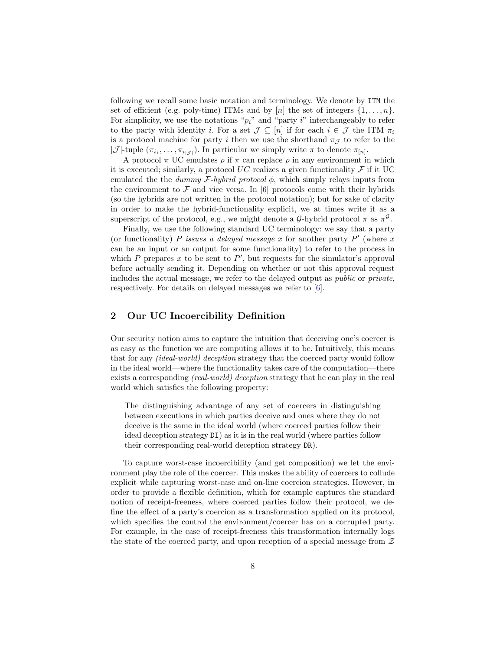following we recall some basic notation and terminology. We denote by ITM the set of efficient (e.g. poly-time) ITMs and by [n] the set of integers  $\{1, \ldots, n\}$ . For simplicity, we use the notations " $p_i$ " and "party i" interchangeably to refer to the party with identity i. For a set  $\mathcal{J} \subseteq [n]$  if for each  $i \in \mathcal{J}$  the ITM  $\pi_i$ is a protocol machine for party i then we use the shorthand  $\pi_{\mathcal{J}}$  to refer to the  $|\mathcal{J}|$ -tuple  $(\pi_{i_1}, \ldots, \pi_{i_{|\mathcal{J}|}})$ . In particular we simply write  $\pi$  to denote  $\pi_{[n]}$ .

A protocol  $\pi$  UC emulates  $\rho$  if  $\pi$  can replace  $\rho$  in any environment in which it is executed; similarly, a protocol  $UC$  realizes a given functionality  $\mathcal F$  if it UC emulated the the dummy  $\mathcal{F}\text{-}hybrid$  protocol  $\phi$ , which simply relays inputs from the environment to  $\mathcal F$  and vice versa. In [\[6\]](#page-16-4) protocols come with their hybrids (so the hybrids are not written in the protocol notation); but for sake of clarity in order to make the hybrid-functionality explicit, we at times write it as a superscript of the protocol, e.g., we might denote a  $\mathcal{G}$ -hybrid protocol  $\pi$  as  $\pi^{\mathcal{G}}$ .

Finally, we use the following standard UC terminology: we say that a party (or functionality) P issues a delayed message x for another party  $P'$  (where x can be an input or an output for some functionality) to refer to the process in which  $P$  prepares  $x$  to be sent to  $P'$ , but requests for the simulator's approval before actually sending it. Depending on whether or not this approval request includes the actual message, we refer to the delayed output as public or private, respectively. For details on delayed messages we refer to [\[6\]](#page-16-4).

# <span id="page-7-0"></span>2 Our UC Incoercibility Definition

Our security notion aims to capture the intuition that deceiving one's coercer is as easy as the function we are computing allows it to be. Intuitively, this means that for any (ideal-world) deception strategy that the coerced party would follow in the ideal world—where the functionality takes care of the computation—there exists a corresponding *(real-world)* deception strategy that he can play in the real world which satisfies the following property:

The distinguishing advantage of any set of coercers in distinguishing between executions in which parties deceive and ones where they do not deceive is the same in the ideal world (where coerced parties follow their ideal deception strategy DI) as it is in the real world (where parties follow their corresponding real-world deception strategy DR).

To capture worst-case incoercibility (and get composition) we let the environment play the role of the coercer. This makes the ability of coercers to collude explicit while capturing worst-case and on-line coercion strategies. However, in order to provide a flexible definition, which for example captures the standard notion of receipt-freeness, where coerced parties follow their protocol, we define the effect of a party's coercion as a transformation applied on its protocol, which specifies the control the environment/coercer has on a corrupted party. For example, in the case of receipt-freeness this transformation internally logs the state of the coerced party, and upon reception of a special message from  $Z$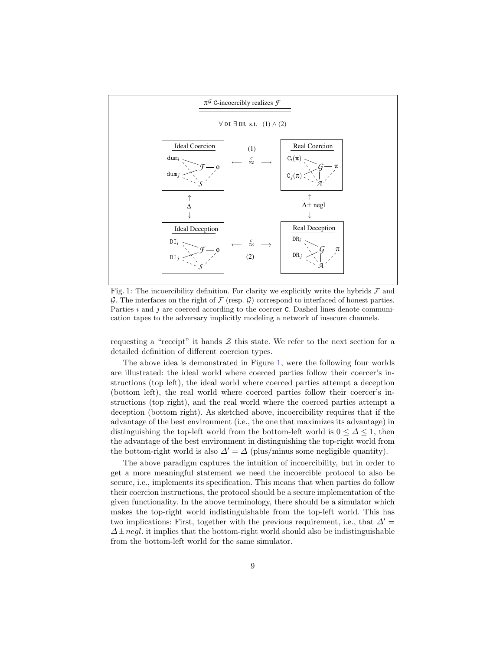<span id="page-8-0"></span>

Fig. 1: The incoercibility definition. For clarity we explicitly write the hybrids  $\mathcal F$  and G. The interfaces on the right of  $\mathcal F$  (resp. G) correspond to interfaced of honest parties. Parties  $i$  and  $j$  are coerced according to the coercer C. Dashed lines denote communication tapes to the adversary implicitly modeling a network of insecure channels.

requesting a "receipt" it hands  $\mathcal Z$  this state. We refer to the next section for a detailed definition of different coercion types.

The above idea is demonstrated in Figure [1,](#page-8-0) were the following four worlds are illustrated: the ideal world where coerced parties follow their coercer's instructions (top left), the ideal world where coerced parties attempt a deception (bottom left), the real world where coerced parties follow their coercer's instructions (top right), and the real world where the coerced parties attempt a deception (bottom right). As sketched above, incoercibility requires that if the advantage of the best environment (i.e., the one that maximizes its advantage) in distinguishing the top-left world from the bottom-left world is  $0 \leq \Delta \leq 1$ , then the advantage of the best environment in distinguishing the top-right world from the bottom-right world is also  $\Delta' = \Delta$  (plus/minus some negligible quantity).

The above paradigm captures the intuition of incoercibility, but in order to get a more meaningful statement we need the incoercible protocol to also be secure, i.e., implements its specification. This means that when parties do follow their coercion instructions, the protocol should be a secure implementation of the given functionality. In the above terminology, there should be a simulator which makes the top-right world indistinguishable from the top-left world. This has two implications: First, together with the previous requirement, i.e., that  $\Delta'$  $\Delta \pm negl$ . it implies that the bottom-right world should also be indistinguishable from the bottom-left world for the same simulator.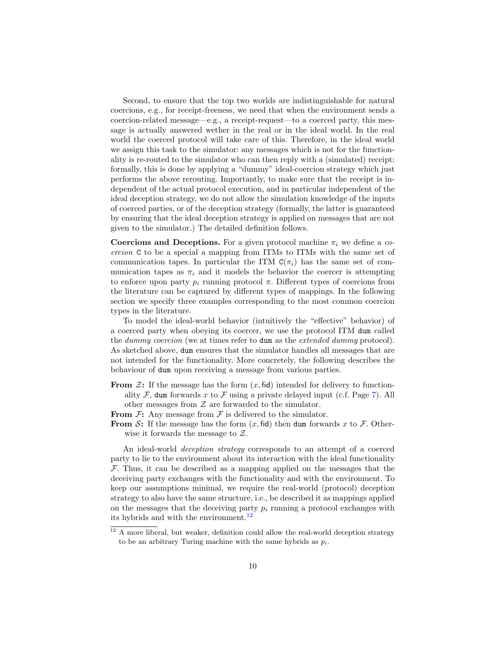Second, to ensure that the top two worlds are indistinguishable for natural coercions, e.g., for receipt-freeness, we need that when the environment sends a coercion-related message—e.g., a receipt-request—to a coerced party, this message is actually answered wether in the real or in the ideal world. In the real world the coerced protocol will take care of this. Therefore, in the ideal world we assign this task to the simulator: any messages which is not for the functionality is re-routed to the simulator who can then reply with a (simulated) receipt; formally, this is done by applying a "dummy" ideal-coercion strategy which just performs the above rerouting. Importantly, to make sure that the receipt is independent of the actual protocol execution, and in particular independent of the ideal deception strategy, we do not allow the simulation knowledge of the inputs of coerced parties, or of the deception strategy (formally, the latter is guaranteed by ensuring that the ideal deception strategy is applied on messages that are not given to the simulator.) The detailed definition follows.

Coercions and Deceptions. For a given protocol machine  $\pi_i$  we define a coercion C to be a special a mapping from ITMs to ITMs with the same set of communication tapes. In particular the ITM  $C(\pi_i)$  has the same set of communication tapes as  $\pi_i$  and it models the behavior the coercer is attempting to enforce upon party  $p_i$  running protocol  $\pi$ . Different types of coercions from the literature can be captured by different types of mappings. In the following section we specify three examples corresponding to the most common coercion types in the literature.

To model the ideal-world behavior (intuitively the "effective" behavior) of a coerced party when obeying its coercer, we use the protocol ITM dum called the dummy coercion (we at times refer to dum as the extended dummy protocol). As sketched above, dum ensures that the simulator handles all messages that are not intended for the functionality. More concretely, the following describes the behaviour of dum upon receiving a message from various parties.

- **From Z:** If the message has the form  $(x, \text{fid})$  intended for delivery to function-ality F, dum forwards x to F using a private delayed input (c.f. Page [7\)](#page-6-3). All other messages from  $Z$  are forwarded to the simulator.
- From  $\mathcal{F}$ : Any message from  $\mathcal{F}$  is delivered to the simulator.
- **From S:** If the message has the form  $(x, \text{fid})$  then dum forwards x to F. Otherwise it forwards the message to Z.

An ideal-world deception strategy corresponds to an attempt of a coerced party to lie to the environment about its interaction with the ideal functionality  $F$ . Thus, it can be described as a mapping applied on the messages that the deceiving party exchanges with the functionality and with the environment. To keep our assumptions minimal, we require the real-world (protocol) deception strategy to also have the same structure, i.e., be described it as mappings applied on the messages that the deceiving party  $p_i$  running a protocol exchanges with its hybrids and with the environment.<sup>[12](#page-9-0)</sup>

<span id="page-9-0"></span> $12$  A more liberal, but weaker, definition could allow the real-world deception strategy to be an arbitrary Turing machine with the same hybrids as  $p_i$ .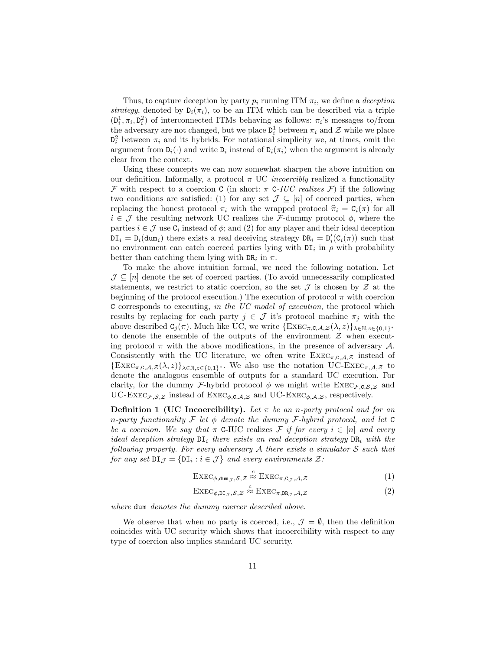Thus, to capture deception by party  $p_i$  running ITM  $\pi_i$ , we define a *deception* strategy, denoted by  $D_i(\pi_i)$ , to be an ITM which can be described via a triple  $(D_i^1, \pi_i, D_i^2)$  of interconnected ITMs behaving as follows:  $\pi_i$ 's messages to/from the adversary are not changed, but we place  $D_i^1$  between  $\pi_i$  and  $\mathcal Z$  while we place  $D_i^2$  between  $\pi_i$  and its hybrids. For notational simplicity we, at times, omit the argument from  $D_i(\cdot)$  and write  $D_i$  instead of  $D_i(\pi_i)$  when the argument is already clear from the context.

Using these concepts we can now somewhat sharpen the above intuition on our definition. Informally, a protocol  $\pi$  UC *incoercibly* realized a functionality F with respect to a coercion C (in short:  $\pi$  C-IUC realizes F) if the following two conditions are satisfied: (1) for any set  $\mathcal{J} \subseteq [n]$  of coerced parties, when replacing the honest protocol  $\pi_i$  with the wrapped protocol  $\hat{\pi}_i = C_i(\pi)$  for all  $i \in \mathcal{J}$  the resulting network UC realizes the F-dummy protocol  $\phi$ , where the parties  $i \in \mathcal{J}$  use  $C_i$  instead of  $\phi$ ; and (2) for any player and their ideal deception  $DI_i = D_i(\text{dum}_i)$  there exists a real deceiving strategy  $DR_i = D_i'(C_i(\pi))$  such that no environment can catch coerced parties lying with  $DI_i$  in  $\rho$  with probability better than catching them lying with  $DR<sub>i</sub>$  in  $\pi$ .

To make the above intuition formal, we need the following notation. Let  $\mathcal{J} \subseteq [n]$  denote the set of coerced parties. (To avoid unnecessarily complicated statements, we restrict to static coercion, so the set  $\mathcal J$  is chosen by  $\mathcal Z$  at the beginning of the protocol execution.) The execution of protocol  $\pi$  with coercion  $C$  corresponds to executing, in the  $UC$  model of execution, the protocol which results by replacing for each party  $j \in \mathcal{J}$  it's protocol machine  $\pi_j$  with the above described  $C_i(\pi)$ . Much like UC, we write  $\{EXEC_{\pi, \mathcal{C}, \mathcal{A}, \mathcal{Z}}(\lambda, z)\}_{\lambda \in \mathbb{N}, z \in \{0,1\}^*}$ to denote the ensemble of the outputs of the environment  $\mathcal Z$  when executing protocol  $\pi$  with the above modifications, in the presence of adversary  $\mathcal{A}$ . Consistently with the UC literature, we often write  $\text{EXEC}_{\pi,c,A,Z}$  instead of  $\{EXEC_{\pi,\mathcal{C},\mathcal{A},\mathcal{Z}}(\lambda,z)\}_{\lambda\in\mathbb{N},z\in\{0,1\}^*}$ . We also use the notation UC-EXEC<sub> $\pi,\mathcal{A},\mathcal{Z}$ </sub> to denote the analogous ensemble of outputs for a standard UC execution. For clarity, for the dummy F-hybrid protocol  $\phi$  we might write  $\text{EXEC}_{\mathcal{F},\mathcal{C},\mathcal{S},\mathcal{Z}}$  and UC-EXEC $_{\mathcal{F},\mathcal{S},\mathcal{Z}}$  instead of EXEC<sub> $\phi$ ,C,A,Z</sub> and UC-EXEC<sub> $\phi$ ,A,Z</sub>, respectively.

Definition 1 (UC Incoercibility). Let  $\pi$  be an n-party protocol and for an n-party functionality  $\mathcal F$  let  $\phi$  denote the dummy  $\mathcal F$ -hybrid protocol, and let C be a coercion. We say that  $\pi$  C-IUC realizes F if for every  $i \in [n]$  and every ideal deception strategy  $DI_i$  there exists an real deception strategy  $DR_i$  with the following property. For every adversary  $A$  there exists a simulator  $S$  such that for any set  $DI_{\mathcal{J}} = \{DI_i : i \in \mathcal{J}\}\$ and every environments  $\mathcal{Z}$ :

$$
EXEC_{\phi, \text{dum}_{\mathcal{J}}, \mathcal{S}, \mathcal{Z}} \stackrel{c}{\approx} \text{EXEC}_{\pi, \mathcal{C}_{\mathcal{J}}, \mathcal{A}, \mathcal{Z}} \tag{1}
$$

$$
EXEC_{\phi,DI_{\mathcal{J}},\mathcal{S},\mathcal{Z}} \stackrel{c}{\approx} EXEC_{\pi,DR_{\mathcal{J}},\mathcal{A},\mathcal{Z}} \tag{2}
$$

where dum *denotes the dummy coercer described above*.

We observe that when no party is coerced, i.e.,  $\mathcal{J} = \emptyset$ , then the definition coincides with UC security which shows that incoercibility with respect to any type of coercion also implies standard UC security.

c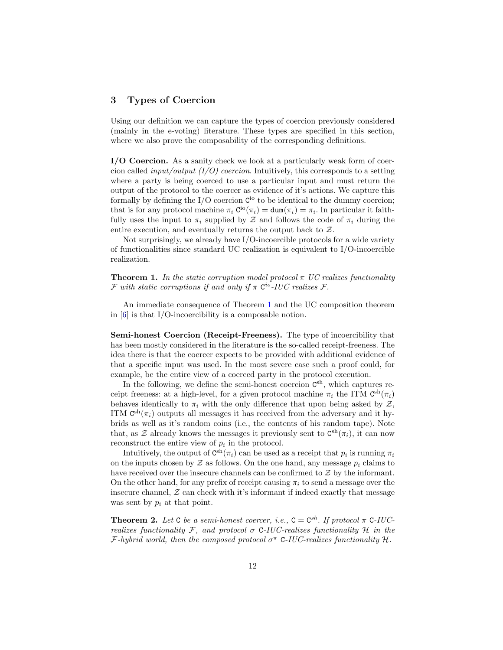### <span id="page-11-0"></span>3 Types of Coercion

Using our definition we can capture the types of coercion previously considered (mainly in the e-voting) literature. These types are specified in this section, where we also prove the composability of the corresponding definitions.

I/O Coercion. As a sanity check we look at a particularly weak form of coercion called *input/output*  $(I/O)$  *coercion*. Intuitively, this corresponds to a setting where a party is being coerced to use a particular input and must return the output of the protocol to the coercer as evidence of it's actions. We capture this formally by defining the  $I/O$  coercion  $C^{io}$  to be identical to the dummy coercion; that is for any protocol machine  $\pi_i$   $C^{io}(\pi_i) = \text{dum}(\pi_i) = \pi_i$ . In particular it faithfully uses the input to  $\pi_i$  supplied by Z and follows the code of  $\pi_i$  during the entire execution, and eventually returns the output back to  $Z$ .

Not surprisingly, we already have I/O-incoercible protocols for a wide variety of functionalities since standard UC realization is equivalent to I/O-incoercible realization.

<span id="page-11-1"></span>**Theorem 1.** In the static corruption model protocol  $\pi$  UC realizes functionality F with static corruptions if and only if  $\pi$  C<sup>io</sup>-IUC realizes F.

An immediate consequence of Theorem [1](#page-11-1) and the UC composition theorem in [\[6\]](#page-16-4) is that I/O-incoercibility is a composable notion.

Semi-honest Coercion (Receipt-Freeness). The type of incoercibility that has been mostly considered in the literature is the so-called receipt-freeness. The idea there is that the coercer expects to be provided with additional evidence of that a specific input was used. In the most severe case such a proof could, for example, be the entire view of a coerced party in the protocol execution.

In the following, we define the semi-honest coercion  $\mathbb{C}^{\text{sh}}$ , which captures receipt freeness: at a high-level, for a given protocol machine  $\pi_i$  the ITM  $\mathcal{C}^{\rm sh}(\pi_i)$ behaves identically to  $\pi_i$  with the only difference that upon being asked by  $\mathcal{Z}$ , ITM  $C^{\text{sh}}(\pi_i)$  outputs all messages it has received from the adversary and it hybrids as well as it's random coins (i.e., the contents of his random tape). Note that, as  $\mathcal Z$  already knows the messages it previously sent to  $C^{\text{sh}}(\pi_i)$ , it can now reconstruct the entire view of  $p_i$  in the protocol.

Intuitively, the output of  $C^{sh}(\pi_i)$  can be used as a receipt that  $p_i$  is running  $\pi_i$ on the inputs chosen by  $\mathcal Z$  as follows. On the one hand, any message  $p_i$  claims to have received over the insecure channels can be confirmed to  $\mathcal Z$  by the informant. On the other hand, for any prefix of receipt causing  $\pi_i$  to send a message over the insecure channel,  $Z$  can check with it's informant if indeed exactly that message was sent by  $p_i$  at that point.

<span id="page-11-2"></span>**Theorem 2.** Let C be a semi-honest coercer, i.e.,  $C = C^{sh}$ . If protocol  $\pi$  C-IUCrealizes functionality F, and protocol  $\sigma$  C-IUC-realizes functionality H in the F-hybrid world, then the composed protocol σ <sup>π</sup> <sup>C</sup>-IUC-realizes functionality <sup>H</sup>.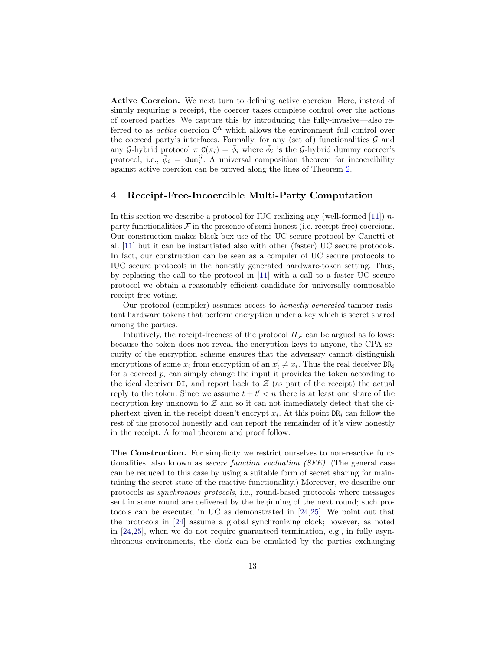Active Coercion. We next turn to defining active coercion. Here, instead of simply requiring a receipt, the coercer takes complete control over the actions of coerced parties. We capture this by introducing the fully-invasive—also referred to as *active* coercion  $C^A$  which allows the environment full control over the coerced party's interfaces. Formally, for any (set of) functionalities  $\mathcal G$  and any G-hybrid protocol  $\pi \overline{C}(\pi_i) = \overline{\phi}_i$  where  $\overline{\phi}_i$  is the G-hybrid dummy coercer's protocol, i.e.,  $\bar{\phi}_i = \text{dum}_i^{\mathcal{G}}$ . A universal composition theorem for incoercibility against active coercion can be proved along the lines of Theorem [2.](#page-11-2)

#### <span id="page-12-0"></span>4 Receipt-Free-Incoercible Multi-Party Computation

In this section we describe a protocol for IUC realizing any (well-formed [\[11\]](#page-16-16)) nparty functionalities  $\mathcal F$  in the presence of semi-honest (i.e. receipt-free) coercions. Our construction makes black-box use of the UC secure protocol by Canetti et al. [\[11\]](#page-16-16) but it can be instantiated also with other (faster) UC secure protocols. In fact, our construction can be seen as a compiler of UC secure protocols to IUC secure protocols in the honestly generated hardware-token setting. Thus, by replacing the call to the protocol in [\[11\]](#page-16-16) with a call to a faster UC secure protocol we obtain a reasonably efficient candidate for universally composable receipt-free voting.

Our protocol (compiler) assumes access to honestly-generated tamper resistant hardware tokens that perform encryption under a key which is secret shared among the parties.

Intuitively, the receipt-freeness of the protocol  $\Pi_{\mathcal{F}}$  can be argued as follows: because the token does not reveal the encryption keys to anyone, the CPA security of the encryption scheme ensures that the adversary cannot distinguish encryptions of some  $x_i$  from encryption of an  $x'_i \neq x_i$ . Thus the real deceiver  $\texttt{DR}_i$ for a coerced  $p_i$  can simply change the input it provides the token according to the ideal deceiver  $DI_i$  and report back to  $Z$  (as part of the receipt) the actual reply to the token. Since we assume  $t + t' < n$  there is at least one share of the decryption key unknown to  $\mathcal Z$  and so it can not immediately detect that the ciphertext given in the receipt doesn't encrypt  $x_i$ . At this point  $\text{DR}_i$  can follow the rest of the protocol honestly and can report the remainder of it's view honestly in the receipt. A formal theorem and proof follow.

The Construction. For simplicity we restrict ourselves to non-reactive functionalities, also known as secure function evaluation (SFE). (The general case can be reduced to this case by using a suitable form of secret sharing for maintaining the secret state of the reactive functionality.) Moreover, we describe our protocols as synchronous protocols, i.e., round-based protocols where messages sent in some round are delivered by the beginning of the next round; such protocols can be executed in UC as demonstrated in [\[24](#page-17-15)[,25\]](#page-17-16). We point out that the protocols in [\[24\]](#page-17-15) assume a global synchronizing clock; however, as noted in [\[24,](#page-17-15)[25\]](#page-17-16), when we do not require guaranteed termination, e.g., in fully asynchronous environments, the clock can be emulated by the parties exchanging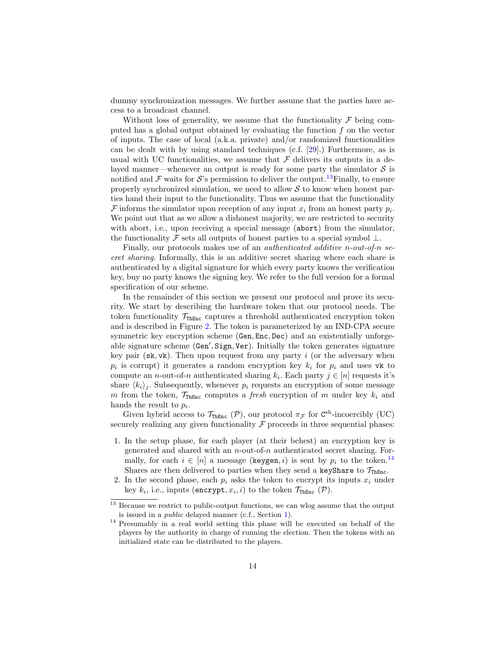dummy synchronization messages. We further assume that the parties have access to a broadcast channel.

Without loss of generality, we assume that the functionality  $\mathcal F$  being computed has a global output obtained by evaluating the function  $f$  on the vector of inputs. The case of local (a.k.a. private) and/or randomized functionalities can be dealt with by using standard techniques (c.f. [\[29\]](#page-17-17).) Furthermore, as is usual with UC functionalities, we assume that  $\mathcal F$  delivers its outputs in a delayed manner—whenever an output is ready for some party the simulator  $S$  is notified and  $\mathcal F$  waits for  $\mathcal S$ 's permission to deliver the output.<sup>[13](#page-13-0)</sup>Finally, to ensure properly synchronized simulation, we need to allow  $S$  to know when honest parties hand their input to the functionality. Thus we assume that the functionality  $\mathcal F$  informs the simulator upon reception of any input  $x_i$  from an honest party  $p_i$ . We point out that as we allow a dishonest majority, we are restricted to security with abort, i.e., upon receiving a special message (abort) from the simulator, the functionality F sets all outputs of honest parties to a special symbol  $\perp$ .

Finally, our protocols makes use of an *authenticated additive n-out-of-n se*cret sharing. Informally, this is an additive secret sharing where each share is authenticated by a digital signature for which every party knows the verification key, buy no party knows the signing key. We refer to the full version for a formal specification of our scheme.

In the remainder of this section we present our protocol and prove its security. We start by describing the hardware token that our protocol needs. The token functionality  $\mathcal{T}_{\text{ThEnc}}$  captures a threshold authenticated encryption token and is described in Figure [2.](#page-14-0) The token is parameterized by an IND-CPA secure symmetric key encryption scheme (Gen, Enc, Dec) and an existentially unforgeable signature scheme (Gen', Sign, Ver). Initially the token generates signature key pair  $(\mathbf{sk}, \mathbf{vk})$ . Then upon request from any party i (or the adversary when  $p_i$  is corrupt) it generates a random encryption key  $k_i$  for  $p_i$  and uses vk to compute an *n*-out-of-*n* authenticated sharing  $k_i$ . Each party  $j \in [n]$  requests it's share  $\langle k_i \rangle_i$ . Subsequently, whenever  $p_i$  requests an encryption of some message m from the token,  $\mathcal{T}_{\text{ThEnc}}$  computes a *fresh* encryption of m under key  $k_i$  and hands the result to  $p_i$ .

Given hybrid access to  $\mathcal{T}_{\text{ThEnc}}(\mathcal{P})$ , our protocol  $\pi_{\mathcal{F}}$  for  $C^{\text{sh}}$ -incoercibly (UC) securely realizing any given functionality  $\mathcal F$  proceeds in three sequential phases:

- 1. In the setup phase, for each player (at their behest) an encryption key is generated and shared with an  $n$ -out-of-n authenticated secret sharing. Formally, for each  $i \in [n]$  a message (keygen, i) is sent by  $p_i$  to the token.<sup>[14](#page-13-1)</sup> Shares are then delivered to parties when they send a keyShare to  $\mathcal{T}_{\text{ThEnc}}$ .
- 2. In the second phase, each  $p_i$  asks the token to encrypt its inputs  $x_i$  under key  $k_i$ , i.e., inputs (encrypt,  $x_i$ , i) to the token  $\mathcal{T}_{\text{ThEnc}}(\mathcal{P})$ .

<span id="page-13-0"></span><sup>&</sup>lt;sup>13</sup> Because we restrict to public-output functions, we can wlog assume that the output is issued in a public delayed manner (c.f., Section [1\)](#page-0-0).

<span id="page-13-1"></span><sup>&</sup>lt;sup>14</sup> Presumably in a real world setting this phase will be executed on behalf of the players by the authority in charge of running the election. Then the tokens with an initialized state can be distributed to the players.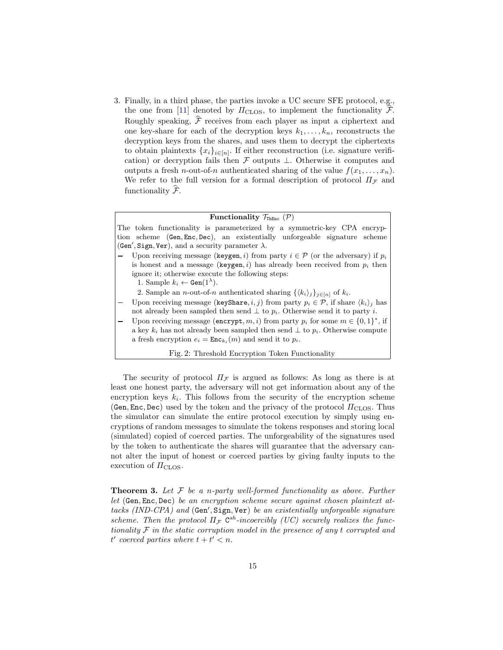3. Finally, in a third phase, the parties invoke a UC secure SFE protocol, e.g., the one from [\[11\]](#page-16-16) denoted by  $\Pi_{\text{CLOS}}$ , to implement the functionality  $\mathcal{F}$ . Roughly speaking,  $\hat{\mathcal{F}}$  receives from each player as input a ciphertext and one key-share for each of the decryption keys  $k_1, \ldots, k_n$ , reconstructs the decryption keys from the shares, and uses them to decrypt the ciphertexts to obtain plaintexts  $\{x_i\}_{i\in[n]}$ . If either reconstruction (i.e. signature verification) or decryption fails then  $\mathcal F$  outputs  $\bot$ . Otherwise it computes and outputs a fresh *n*-out-of-*n* authenticated sharing of the value  $f(x_1, \ldots, x_n)$ . We refer to the full version for a formal description of protocol  $\Pi_{\mathcal{F}}$  and functionality  $\mathcal{F}$ .

#### Functionality  $\mathcal{T}_{\text{ThEnc}}(\mathcal{P})$

The token functionality is parameterized by a symmetric-key CPA encryption scheme (Gen, Enc, Dec), an existentially unforgeable signature scheme (Gen', Sign, Ver), and a security parameter  $\lambda$ . Upon receiving message (keygen, i) from party  $i \in \mathcal{P}$  (or the adversary) if  $p_i$ is honest and a message (keygen, i) has already been received from  $p_i$  then ignore it; otherwise execute the following steps: 1. Sample  $k_i \leftarrow \texttt{Gen}(1^{\lambda})$ . 2. Sample an *n*-out-of-*n* authenticated sharing  $\{\langle k_i \rangle_j\}_{j \in [n]}$  of  $k_i$ . Upon receiving message (keyShare, i, j) from party  $p_i \in \mathcal{P}$ , if share  $\langle k_i \rangle_j$  has not already been sampled then send  $\perp$  to  $p_i$ . Otherwise send it to party *i*. Upon receiving message (encrypt, m, i) from party  $p_i$  for some  $m \in \{0,1\}^*$ , if a key  $k_i$  has not already been sampled then send  $\perp$  to  $p_i$ . Otherwise compute a fresh encryption  $e_i = \text{Enc}_{k_i}(m)$  and send it to  $p_i$ .

<span id="page-14-0"></span>Fig. 2: Threshold Encryption Token Functionality

The security of protocol  $\Pi_{\mathcal{F}}$  is argued as follows: As long as there is at least one honest party, the adversary will not get information about any of the encryption keys  $k_i$ . This follows from the security of the encryption scheme (Gen, Enc, Dec) used by the token and the privacy of the protocol  $\Pi_{\text{CLOS}}$ . Thus the simulator can simulate the entire protocol execution by simply using encryptions of random messages to simulate the tokens responses and storing local (simulated) copied of coerced parties. The unforgeability of the signatures used by the token to authenticate the shares will guarantee that the adversary cannot alter the input of honest or coerced parties by giving faulty inputs to the execution of  $\Pi_{\text{CLOS}}$ .

**Theorem 3.** Let  $F$  be a n-party well-formed functionality as above. Further let (Gen, Enc, Dec) be an encryption scheme secure against chosen plaintext attacks (IND-CPA) and (Gen', Sign, Ver) be an existentially unforgeable signature scheme. Then the protocol  $\Pi_{\mathcal{F}}$   $\mathsf{C}^{sh}\text{-}incoercibly$  (UC) securely realizes the functionality  $F$  in the static corruption model in the presence of any t corrupted and  $t'$  coerced parties where  $t + t' < n$ .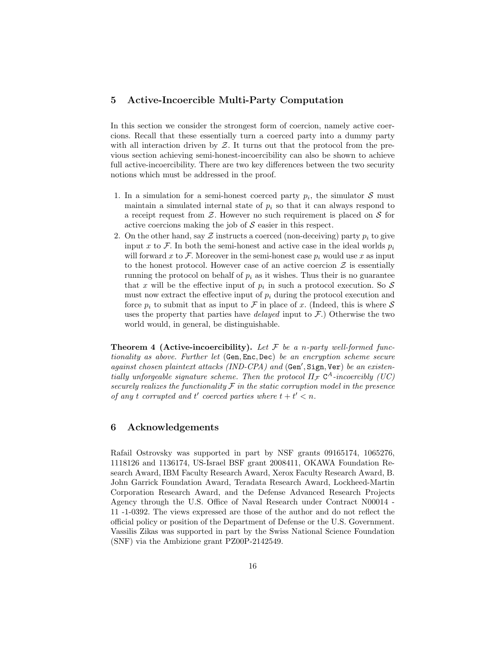## <span id="page-15-0"></span>5 Active-Incoercible Multi-Party Computation

In this section we consider the strongest form of coercion, namely active coercions. Recall that these essentially turn a coerced party into a dummy party with all interaction driven by  $Z$ . It turns out that the protocol from the previous section achieving semi-honest-incoercibility can also be shown to achieve full active-incoercibility. There are two key differences between the two security notions which must be addressed in the proof.

- 1. In a simulation for a semi-honest coerced party  $p_i$ , the simulator  $S$  must maintain a simulated internal state of  $p_i$  so that it can always respond to a receipt request from  $Z$ . However no such requirement is placed on  $S$  for active coercions making the job of  $S$  easier in this respect.
- 2. On the other hand, say  $\mathcal Z$  instructs a coerced (non-deceiving) party  $p_i$  to give input x to  $\mathcal F$ . In both the semi-honest and active case in the ideal worlds  $p_i$ will forward x to F. Moreover in the semi-honest case  $p_i$  would use x as input to the honest protocol. However case of an active coercion  $\mathcal Z$  is essentially running the protocol on behalf of  $p_i$  as it wishes. Thus their is no guarantee that x will be the effective input of  $p_i$  in such a protocol execution. So  $\mathcal{S}$ must now extract the effective input of  $p_i$  during the protocol execution and force  $p_i$  to submit that as input to F in place of x. (Indeed, this is where S uses the property that parties have *delayed* input to  $\mathcal{F}$ .) Otherwise the two world would, in general, be distinguishable.

**Theorem 4 (Active-incoercibility).** Let  $\mathcal F$  be a n-party well-formed functionality as above. Further let (Gen, Enc, Dec) be an encryption scheme secure against chosen plaintext attacks (IND-CPA) and (Gen', Sign, Ver) be an existentially unforgeable signature scheme. Then the protocol  $\Pi_{\mathcal{F}}$   $C^A$ -incoercibly (UC) securely realizes the functionality  $\mathcal F$  in the static corruption model in the presence of any t corrupted and t' coerced parties where  $t + t' < n$ .

#### 6 Acknowledgements

Rafail Ostrovsky was supported in part by NSF grants 09165174, 1065276, 1118126 and 1136174, US-Israel BSF grant 2008411, OKAWA Foundation Research Award, IBM Faculty Research Award, Xerox Faculty Research Award, B. John Garrick Foundation Award, Teradata Research Award, Lockheed-Martin Corporation Research Award, and the Defense Advanced Research Projects Agency through the U.S. Office of Naval Research under Contract N00014 - 11 -1-0392. The views expressed are those of the author and do not reflect the official policy or position of the Department of Defense or the U.S. Government. Vassilis Zikas was supported in part by the Swiss National Science Foundation (SNF) via the Ambizione grant PZ00P-2142549.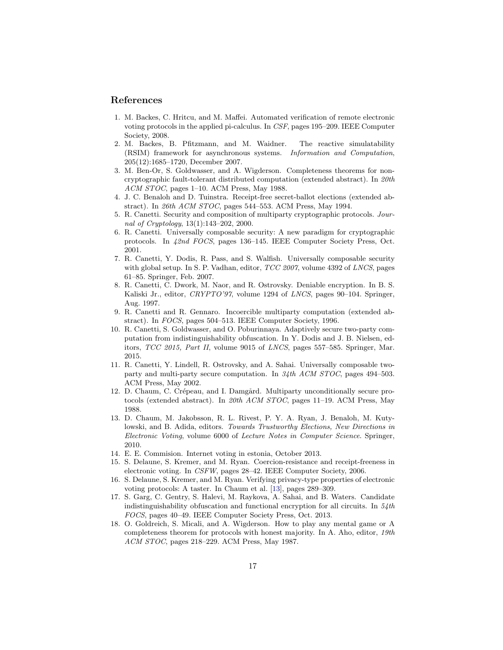#### References

- <span id="page-16-11"></span>1. M. Backes, C. Hritcu, and M. Maffei. Automated verification of remote electronic voting protocols in the applied pi-calculus. In CSF, pages 195–209. IEEE Computer Society, 2008.
- <span id="page-16-3"></span>2. M. Backes, B. Pfitzmann, and M. Waidner. The reactive simulatability (RSIM) framework for asynchronous systems. Information and Computation, 205(12):1685–1720, December 2007.
- <span id="page-16-1"></span>3. M. Ben-Or, S. Goldwasser, and A. Wigderson. Completeness theorems for noncryptographic fault-tolerant distributed computation (extended abstract). In 20th ACM STOC, pages 1–10. ACM Press, May 1988.
- <span id="page-16-9"></span>4. J. C. Benaloh and D. Tuinstra. Receipt-free secret-ballot elections (extended abstract). In 26th ACM STOC, pages 544–553. ACM Press, May 1994.
- <span id="page-16-13"></span>5. R. Canetti. Security and composition of multiparty cryptographic protocols. Journal of Cryptology, 13(1):143–202, 2000.
- <span id="page-16-4"></span>6. R. Canetti. Universally composable security: A new paradigm for cryptographic protocols. In 42nd FOCS, pages 136–145. IEEE Computer Society Press, Oct. 2001.
- <span id="page-16-14"></span>7. R. Canetti, Y. Dodis, R. Pass, and S. Walfish. Universally composable security with global setup. In S. P. Vadhan, editor,  $TCC 2007$ , volume 4392 of LNCS, pages 61–85. Springer, Feb. 2007.
- <span id="page-16-7"></span>8. R. Canetti, C. Dwork, M. Naor, and R. Ostrovsky. Deniable encryption. In B. S. Kaliski Jr., editor, CRYPTO'97, volume 1294 of LNCS, pages 90–104. Springer, Aug. 1997.
- <span id="page-16-5"></span>9. R. Canetti and R. Gennaro. Incoercible multiparty computation (extended abstract). In FOCS, pages 504–513. IEEE Computer Society, 1996.
- <span id="page-16-6"></span>10. R. Canetti, S. Goldwasser, and O. Poburinnaya. Adaptively secure two-party computation from indistinguishability obfuscation. In Y. Dodis and J. B. Nielsen, editors, TCC 2015, Part II, volume 9015 of LNCS, pages 557–585. Springer, Mar. 2015.
- <span id="page-16-16"></span>11. R. Canetti, Y. Lindell, R. Ostrovsky, and A. Sahai. Universally composable twoparty and multi-party secure computation. In 34th ACM STOC, pages 494–503. ACM Press, May 2002.
- <span id="page-16-2"></span>12. D. Chaum, C. Crépeau, and I. Damgård. Multiparty unconditionally secure protocols (extended abstract). In 20th ACM STOC, pages 11–19. ACM Press, May 1988.
- <span id="page-16-17"></span>13. D. Chaum, M. Jakobsson, R. L. Rivest, P. Y. A. Ryan, J. Benaloh, M. Kutylowski, and B. Adida, editors. Towards Trustworthy Elections, New Directions in Electronic Voting, volume 6000 of Lecture Notes in Computer Science. Springer, 2010.
- <span id="page-16-8"></span>14. E. E. Commision. Internet voting in estonia, October 2013.
- <span id="page-16-10"></span>15. S. Delaune, S. Kremer, and M. Ryan. Coercion-resistance and receipt-freeness in electronic voting. In CSFW, pages 28–42. IEEE Computer Society, 2006.
- <span id="page-16-12"></span>16. S. Delaune, S. Kremer, and M. Ryan. Verifying privacy-type properties of electronic voting protocols: A taster. In Chaum et al. [\[13\]](#page-16-17), pages 289–309.
- <span id="page-16-15"></span>17. S. Garg, C. Gentry, S. Halevi, M. Raykova, A. Sahai, and B. Waters. Candidate indistinguishability obfuscation and functional encryption for all circuits. In  $54$ th FOCS, pages 40–49. IEEE Computer Society Press, Oct. 2013.
- <span id="page-16-0"></span>18. O. Goldreich, S. Micali, and A. Wigderson. How to play any mental game or A completeness theorem for protocols with honest majority. In A. Aho, editor, 19th ACM STOC, pages 218–229. ACM Press, May 1987.